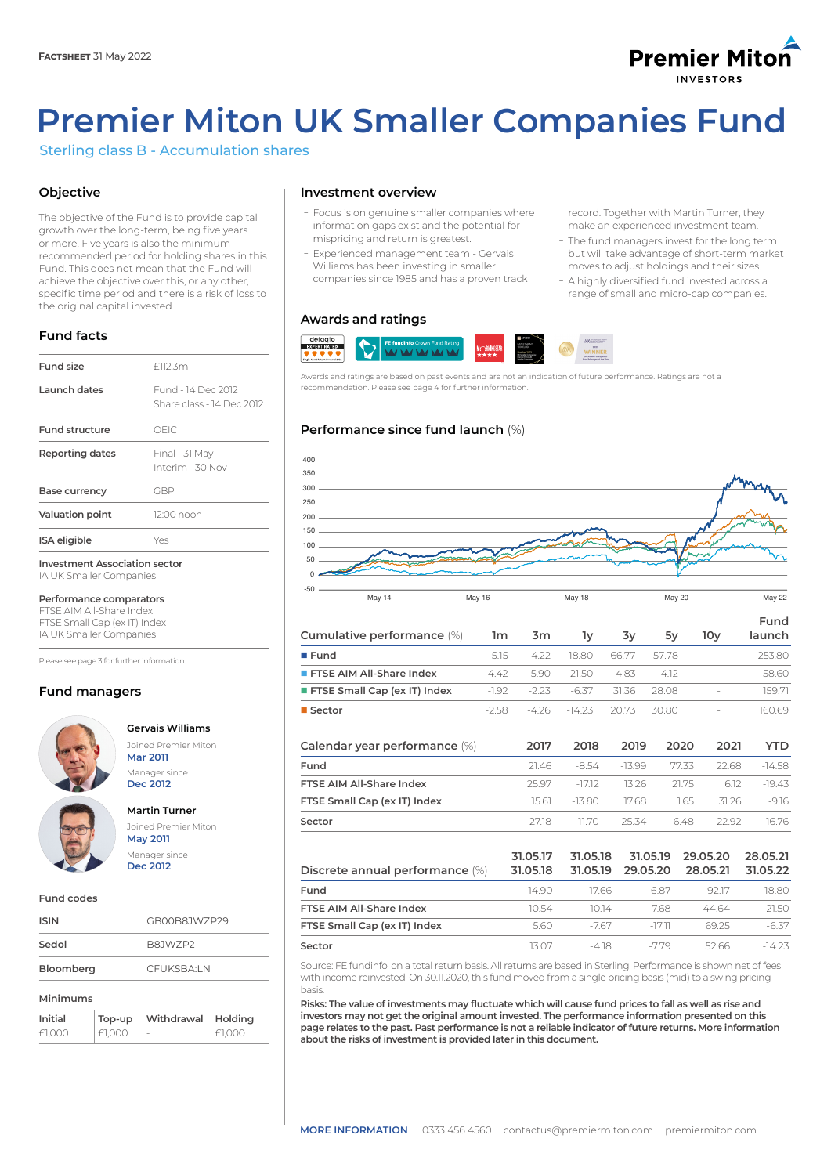## **Premier Miton NVESTODS**

# **Premier Miton UK Smaller Companies Fund**

Sterling class B - Accumulation shares

## **Objective**

The objective of the Fund is to provide capital growth over the long-term, being five years or more. Five years is also the minimum recommended period for holding shares in this Fund. This does not mean that the Fund will achieve the objective over this, or any other, specific time period and there is a risk of loss to the original capital invested.

## **Fund facts**

| <b>Fund size</b>                                                | f112.3m                                         |  |  |  |
|-----------------------------------------------------------------|-------------------------------------------------|--|--|--|
| Launch dates                                                    | Fund - 14 Dec 2012<br>Share class - 14 Dec 2012 |  |  |  |
| <b>Fund structure</b>                                           | OFIC.                                           |  |  |  |
| Reporting dates                                                 | Final - 31 May<br>Interim - 30 Nov              |  |  |  |
| Base currency                                                   | GBP                                             |  |  |  |
| Valuation point                                                 | 12:00 noon                                      |  |  |  |
| <b>ISA</b> eligible                                             | Yes                                             |  |  |  |
| <b>Investment Association sector</b><br>IA UK Smaller Companies |                                                 |  |  |  |

**Performance comparators** FTSE AIM All-Share Index

FTSE Small Cap (ex IT) Index IA UK Smaller Companies

Please see page 3 for further information.

## **Fund managers**



**Gervais Williams** Joined Premier Miton **Mar 2011**

## **Martin Turner**

Manager since **Dec 2012**

Joined Premier Miton **May 2011** Manager since **Dec 2012**

#### **Fund codes**

| <b>ISIN</b> | GB00B8JWZP29 |
|-------------|--------------|
| Sedol       | B8JW7P2      |
| Bloomberg   | CEUKSBAIN    |

#### **Minimums**

| Initial | Top-up | Withdrawal   Holding     |        |
|---------|--------|--------------------------|--------|
| £1.000  | £1.000 | $\overline{\phantom{a}}$ | £1.000 |

#### **Investment overview**

- Focus is on genuine smaller companies where information gaps exist and the potential for mispricing and return is greatest.
- Experienced management team Gervais Williams has been investing in smaller companies since 1985 and has a proven track

#### **Awards and ratings**



Awards and ratings are based on past events and are not an indication of future performance. Ratings are not a recommendation. Please see page 4 for further information.

#### **Performance since fund launch** (%)



| Cumulative performance (%)       | 1m      | 3m      | 1y       | 3y       | 5y    | 10 <sub>V</sub>          | Fund<br>launch |
|----------------------------------|---------|---------|----------|----------|-------|--------------------------|----------------|
| $E$ Fund                         | $-5.15$ | -4.22   | $-18.80$ | 66.77    | 57.78 | $\overline{\phantom{a}}$ | 253.80         |
| <b>FITSE AIM All-Share Index</b> | $-4.42$ | $-5.90$ | $-21.50$ | 4.83     | 4.12  | $\overline{\phantom{a}}$ | 58.60          |
| FTSE Small Cap (ex IT) Index     | $-1.92$ | $-2.23$ | -6.37    | 31.36    | 28.08 | $\sim$                   | 159.71         |
| ■ Sector                         | $-2.58$ | -4.26   | $-14.23$ | 20.73    | 30.80 |                          | 160.69         |
| Calendar year performance (%)    |         | 2017    | 2018     | 2019     | 2020  | 2021                     | YTD.           |
| Fund                             |         | 21.46   | -8.54    | $-13.99$ | 77.33 | 22.68                    | $-14.58$       |
|                                  |         |         |          |          |       |                          |                |

| FTSE AIM All-Share Index     | 25.97 | -1712         |          | 1326 2175 | 612      | -1943 |
|------------------------------|-------|---------------|----------|-----------|----------|-------|
| FTSE Small Cap (ex IT) Index |       | 15.61 - 13.80 | - 1768 - |           | 165 3126 | -916  |
| Sector                       | 2718  | -11 70        | 25.34    |           | 648 2292 | -1676 |
|                              |       |               |          |           |          |       |

| Discrete annual performance (%) | 31.05.17<br>31.05.18 | 31.05.18<br>31.05.19 | 31.05.19<br>29.05.20 | 29.05.20<br>28.05.21 | 28.05.21<br>31.05.22 |
|---------------------------------|----------------------|----------------------|----------------------|----------------------|----------------------|
| Fund                            | 14 90.               | -1766                | 687                  | 92.17                | $-18.80$             |
| FTSE AIM All-Share Index        | 10.54                | -1014                | $-768$               | 4464                 | $-21.50$             |
| FTSE Small Cap (ex IT) Index    | 5.60                 | -767                 | -1711                | 6925                 | $-6.37$              |
| Sector                          | 13 O.Z               | $-418$               | -779                 | 52.66                | $-1423$              |

Source: FE fundinfo, on a total return basis. All returns are based in Sterling. Performance is shown net of fees with income reinvested. On 30.11.2020, this fund moved from a single pricing basis (mid) to a swing pricing basis.

**Risks: The value of investments may fluctuate which will cause fund prices to fall as well as rise and investors may not get the original amount invested. The performance information presented on this page relates to the past. Past performance is not a reliable indicator of future returns. More information about the risks of investment is provided later in this document.**

record. Together with Martin Turner, they make an experienced investment team.

- The fund managers invest for the long term but will take advantage of short-term market moves to adjust holdings and their sizes.
- A highly diversified fund invested across a range of small and micro-cap companies.

defacto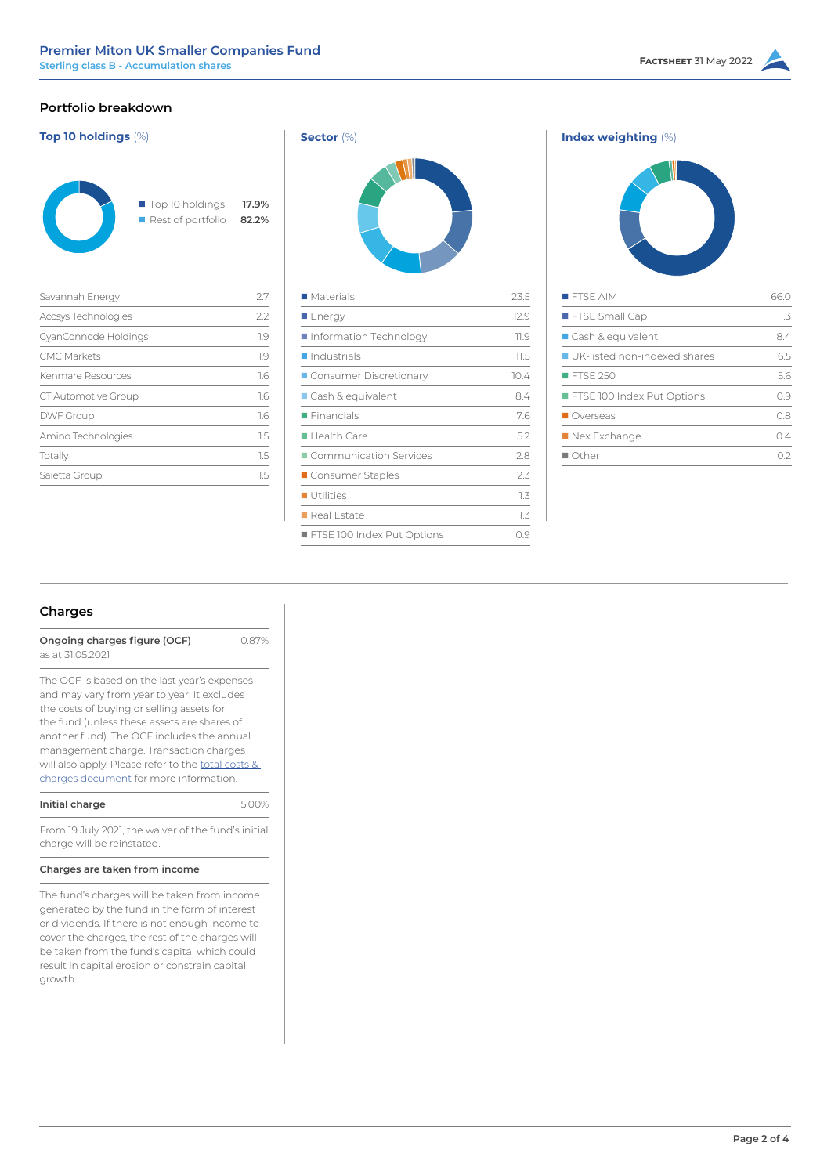## **Portfolio breakdown**

| Top 10 holdings                  | 17.9% |
|----------------------------------|-------|
| $\blacksquare$ Rest of portfolio | 82.2% |

| Savannah Energy      | 27  |
|----------------------|-----|
| Accsys Technologies  | 2.2 |
| CyanConnode Holdings | 1.9 |
| <b>CMC Markets</b>   | 1.9 |
| Kenmare Resources    | 1.6 |
| CT Automotive Group  | 1.6 |
| <b>DWF Group</b>     | 1.6 |
| Amino Technologies   | 1.5 |
| Totally              | 15  |
| Saietta Group        | 1.5 |





| <b>FISE AIM</b>                | 660  |
|--------------------------------|------|
| FTSE Small Cap                 | 11.3 |
| ■ Cash & equivalent            | 8.4  |
| ■ UK-listed non-indexed shares | 65   |
| FTSF 250                       | 5.6  |
| FTSE 100 Index Put Options     | 09   |
| Overseas                       | O.8  |
| Nex Exchange                   | 0.4  |
| $\blacksquare$ Other           | コフ   |

## **Charges**

**Ongoing charges figure (OCF)** 0.87% as at 31.05.2021

The OCF is based on the last year's expenses and may vary from year to year. It excludes the costs of buying or selling assets for the fund (unless these assets are shares of another fund). The OCF includes the annual management charge. Transaction charges will also apply. Please refer to the [total costs &](https://corporate-premiermiton.huguenots.co.uk///srp///documents-id///cc3181fa-6363-43b1-9473-69468f7d177b///Totalcostsandcharges.pdf)  [charges document](https://corporate-premiermiton.huguenots.co.uk///srp///documents-id///cc3181fa-6363-43b1-9473-69468f7d177b///Totalcostsandcharges.pdf) for more information.

| Initial charge | 5.00% |
|----------------|-------|
|                |       |

From 19 July 2021, the waiver of the fund's initial charge will be reinstated.

#### **Charges are taken from income**

The fund's charges will be taken from income generated by the fund in the form of interest or dividends. If there is not enough income to cover the charges, the rest of the charges will be taken from the fund's capital which could result in capital erosion or constrain capital growth.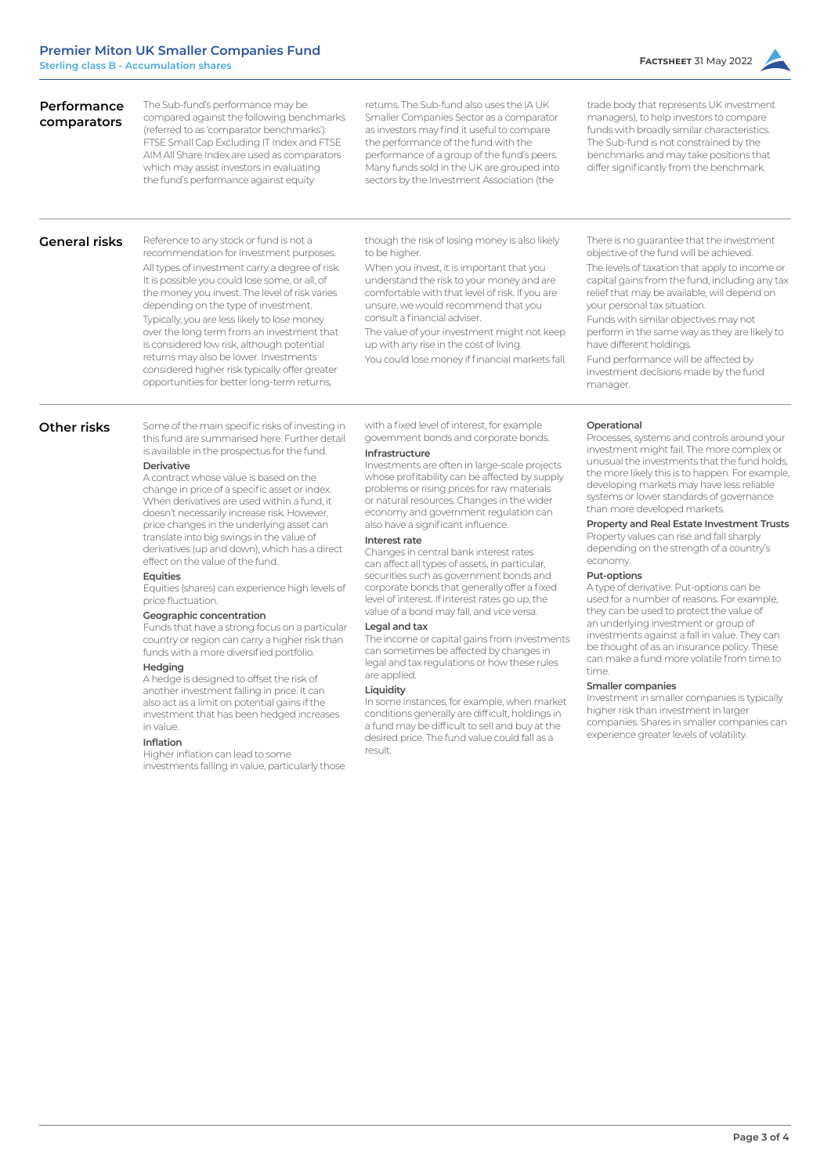The Sub-fund's performance may be compared against the following benchmarks (referred to as 'comparator benchmarks'): FTSE Small Cap Excluding IT Index and FTSE AIM All Share Index are used as comparators which may assist investors in evaluating the fund's performance against equity

trade body that represents UK investment managers), to help investors to compare funds with broadly similar characteristics. The Sub-fund is not constrained by the benchmarks and may take positions that differ significantly from the benchmark.

#### **General risks**

**Performance comparators**

> Reference to any stock or fund is not a recommendation for investment purposes. All types of investment carry a degree of risk. It is possible you could lose some, or all, of the money you invest. The level of risk varies depending on the type of investment. Typically, you are less likely to lose money over the long term from an investment that is considered low risk, although potential returns may also be lower. Investments considered higher risk typically offer greater opportunities for better long-term returns,

though the risk of losing money is also likely to be higher.

returns. The Sub-fund also uses the IA UK Smaller Companies Sector as a comparator as investors may find it useful to compare the performance of the fund with the performance of a group of the fund's peers. Many funds sold in the UK are grouped into sectors by the Investment Association (the

When you invest, it is important that you understand the risk to your money and are comfortable with that level of risk. If you are unsure, we would recommend that you consult a financial adviser.

The value of your investment might not keep up with any rise in the cost of living.

You could lose money if financial markets fall.

There is no guarantee that the investment objective of the fund will be achieved.

The levels of taxation that apply to income or capital gains from the fund, including any tax relief that may be available, will depend on your personal tax situation.

Funds with similar objectives may not perform in the same way as they are likely to have different holdings.

Fund performance will be affected by investment decisions made by the fund manager.

#### **Other risks**

Some of the main specific risks of investing in this fund are summarised here. Further detail is available in the prospectus for the fund.

#### **Derivative**

A contract whose value is based on the change in price of a specific asset or index. When derivatives are used within a fund, it doesn't necessarily increase risk. However, price changes in the underlying asset can translate into big swings in the value of derivatives (up and down), which has a direct effect on the value of the fund.

#### **Equities**

Equities (shares) can experience high levels of price fluctuation.

#### **Geographic concentration**

Funds that have a strong focus on a particular country or region can carry a higher risk than funds with a more diversified portfolio.

#### **Hedging**

A hedge is designed to offset the risk of another investment falling in price. It can also act as a limit on potential gains if the investment that has been hedged increases in value.

#### **Inflation**

Higher inflation can lead to some investments falling in value, particularly those with a fixed level of interest, for example government bonds and corporate bonds.

#### **Infrastructure**

Investments are often in large-scale projects whose profitability can be affected by supply problems or rising prices for raw materials or natural resources. Changes in the wider economy and government regulation can also have a significant influence.

#### **Interest rate**

Changes in central bank interest rates can affect all types of assets, in particular, securities such as government bonds and corporate bonds that generally offer a fixed level of interest. If interest rates go up, the value of a bond may fall, and vice versa.

#### **Legal and tax**

The income or capital gains from investments can sometimes be affected by changes in legal and tax regulations or how these rules are applied.

#### **Liquidity**

In some instances, for example, when market conditions generally are difficult, holdings in a fund may be difficult to sell and buy at the desired price. The fund value could fall as a result.

#### **Operational**

Processes, systems and controls around your investment might fail. The more complex or unusual the investments that the fund holds, the more likely this is to happen. For example, developing markets may have less reliable systems or lower standards of governance than more developed markets.

#### **Property and Real Estate Investment Trusts**

Property values can rise and fall sharply depending on the strength of a country's economy.

#### **Put-options**

A type of derivative. Put-options can be used for a number of reasons. For example, they can be used to protect the value of an underlying investment or group of investments against a fall in value. They can be thought of as an insurance policy. These can make a fund more volatile from time to time.

#### **Smaller companies**

Investment in smaller companies is typically higher risk than investment in larger companies. Shares in smaller companies can experience greater levels of volatility.